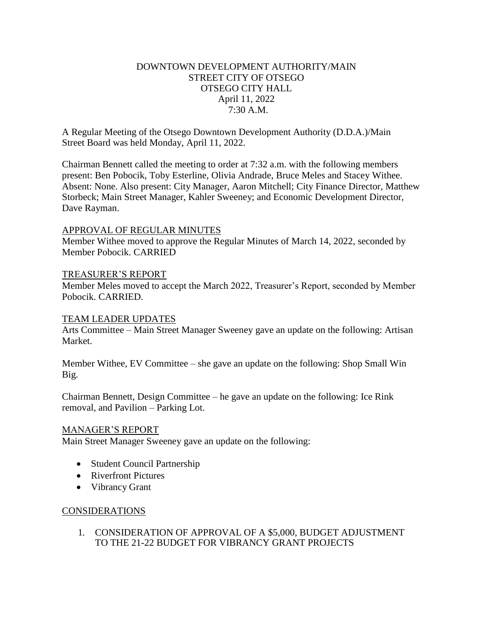# DOWNTOWN DEVELOPMENT AUTHORITY/MAIN STREET CITY OF OTSEGO OTSEGO CITY HALL April 11, 2022 7:30 A.M.

A Regular Meeting of the Otsego Downtown Development Authority (D.D.A.)/Main Street Board was held Monday, April 11, 2022.

Chairman Bennett called the meeting to order at 7:32 a.m. with the following members present: Ben Pobocik, Toby Esterline, Olivia Andrade, Bruce Meles and Stacey Withee. Absent: None. Also present: City Manager, Aaron Mitchell; City Finance Director, Matthew Storbeck; Main Street Manager, Kahler Sweeney; and Economic Development Director, Dave Rayman.

### APPROVAL OF REGULAR MINUTES

Member Withee moved to approve the Regular Minutes of March 14, 2022, seconded by Member Pobocik. CARRIED

#### TREASURER'S REPORT

Member Meles moved to accept the March 2022, Treasurer's Report, seconded by Member Pobocik. CARRIED.

#### TEAM LEADER UPDATES

Arts Committee – Main Street Manager Sweeney gave an update on the following: Artisan Market.

Member Withee, EV Committee – she gave an update on the following: Shop Small Win Big.

Chairman Bennett, Design Committee – he gave an update on the following: Ice Rink removal, and Pavilion – Parking Lot.

#### MANAGER'S REPORT

Main Street Manager Sweeney gave an update on the following:

- Student Council Partnership
- Riverfront Pictures
- Vibrancy Grant

### CONSIDERATIONS

1. CONSIDERATION OF APPROVAL OF A \$5,000, BUDGET ADJUSTMENT TO THE 21-22 BUDGET FOR VIBRANCY GRANT PROJECTS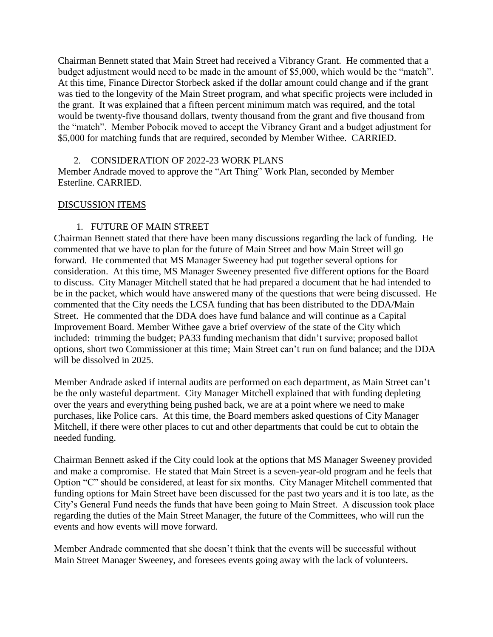Chairman Bennett stated that Main Street had received a Vibrancy Grant. He commented that a budget adjustment would need to be made in the amount of \$5,000, which would be the "match". At this time, Finance Director Storbeck asked if the dollar amount could change and if the grant was tied to the longevity of the Main Street program, and what specific projects were included in the grant. It was explained that a fifteen percent minimum match was required, and the total would be twenty-five thousand dollars, twenty thousand from the grant and five thousand from the "match". Member Pobocik moved to accept the Vibrancy Grant and a budget adjustment for \$5,000 for matching funds that are required, seconded by Member Withee. CARRIED.

### 2. CONSIDERATION OF 2022-23 WORK PLANS

Member Andrade moved to approve the "Art Thing" Work Plan, seconded by Member Esterline. CARRIED.

# DISCUSSION ITEMS

# 1. FUTURE OF MAIN STREET

Chairman Bennett stated that there have been many discussions regarding the lack of funding. He commented that we have to plan for the future of Main Street and how Main Street will go forward. He commented that MS Manager Sweeney had put together several options for consideration. At this time, MS Manager Sweeney presented five different options for the Board to discuss. City Manager Mitchell stated that he had prepared a document that he had intended to be in the packet, which would have answered many of the questions that were being discussed. He commented that the City needs the LCSA funding that has been distributed to the DDA/Main Street. He commented that the DDA does have fund balance and will continue as a Capital Improvement Board. Member Withee gave a brief overview of the state of the City which included: trimming the budget; PA33 funding mechanism that didn't survive; proposed ballot options, short two Commissioner at this time; Main Street can't run on fund balance; and the DDA will be dissolved in 2025.

Member Andrade asked if internal audits are performed on each department, as Main Street can't be the only wasteful department. City Manager Mitchell explained that with funding depleting over the years and everything being pushed back, we are at a point where we need to make purchases, like Police cars. At this time, the Board members asked questions of City Manager Mitchell, if there were other places to cut and other departments that could be cut to obtain the needed funding.

Chairman Bennett asked if the City could look at the options that MS Manager Sweeney provided and make a compromise. He stated that Main Street is a seven-year-old program and he feels that Option "C" should be considered, at least for six months. City Manager Mitchell commented that funding options for Main Street have been discussed for the past two years and it is too late, as the City's General Fund needs the funds that have been going to Main Street. A discussion took place regarding the duties of the Main Street Manager, the future of the Committees, who will run the events and how events will move forward.

Member Andrade commented that she doesn't think that the events will be successful without Main Street Manager Sweeney, and foresees events going away with the lack of volunteers.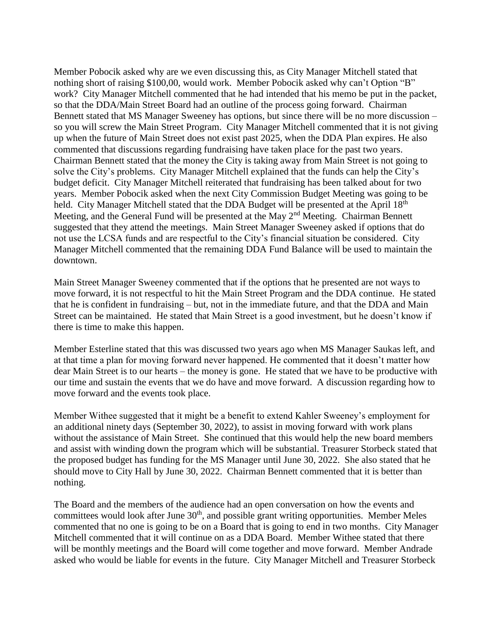Member Pobocik asked why are we even discussing this, as City Manager Mitchell stated that nothing short of raising \$100,00, would work. Member Pobocik asked why can't Option "B" work? City Manager Mitchell commented that he had intended that his memo be put in the packet, so that the DDA/Main Street Board had an outline of the process going forward. Chairman Bennett stated that MS Manager Sweeney has options, but since there will be no more discussion – so you will screw the Main Street Program. City Manager Mitchell commented that it is not giving up when the future of Main Street does not exist past 2025, when the DDA Plan expires. He also commented that discussions regarding fundraising have taken place for the past two years. Chairman Bennett stated that the money the City is taking away from Main Street is not going to solve the City's problems. City Manager Mitchell explained that the funds can help the City's budget deficit. City Manager Mitchell reiterated that fundraising has been talked about for two years. Member Pobocik asked when the next City Commission Budget Meeting was going to be held. City Manager Mitchell stated that the DDA Budget will be presented at the April 18<sup>th</sup> Meeting, and the General Fund will be presented at the May  $2<sup>nd</sup>$  Meeting. Chairman Bennett suggested that they attend the meetings. Main Street Manager Sweeney asked if options that do not use the LCSA funds and are respectful to the City's financial situation be considered. City Manager Mitchell commented that the remaining DDA Fund Balance will be used to maintain the downtown.

Main Street Manager Sweeney commented that if the options that he presented are not ways to move forward, it is not respectful to hit the Main Street Program and the DDA continue. He stated that he is confident in fundraising – but, not in the immediate future, and that the DDA and Main Street can be maintained. He stated that Main Street is a good investment, but he doesn't know if there is time to make this happen.

Member Esterline stated that this was discussed two years ago when MS Manager Saukas left, and at that time a plan for moving forward never happened. He commented that it doesn't matter how dear Main Street is to our hearts – the money is gone. He stated that we have to be productive with our time and sustain the events that we do have and move forward. A discussion regarding how to move forward and the events took place.

Member Withee suggested that it might be a benefit to extend Kahler Sweeney's employment for an additional ninety days (September 30, 2022), to assist in moving forward with work plans without the assistance of Main Street. She continued that this would help the new board members and assist with winding down the program which will be substantial. Treasurer Storbeck stated that the proposed budget has funding for the MS Manager until June 30, 2022. She also stated that he should move to City Hall by June 30, 2022. Chairman Bennett commented that it is better than nothing.

The Board and the members of the audience had an open conversation on how the events and committees would look after June  $30<sup>th</sup>$ , and possible grant writing opportunities. Member Meles commented that no one is going to be on a Board that is going to end in two months. City Manager Mitchell commented that it will continue on as a DDA Board. Member Withee stated that there will be monthly meetings and the Board will come together and move forward. Member Andrade asked who would be liable for events in the future. City Manager Mitchell and Treasurer Storbeck